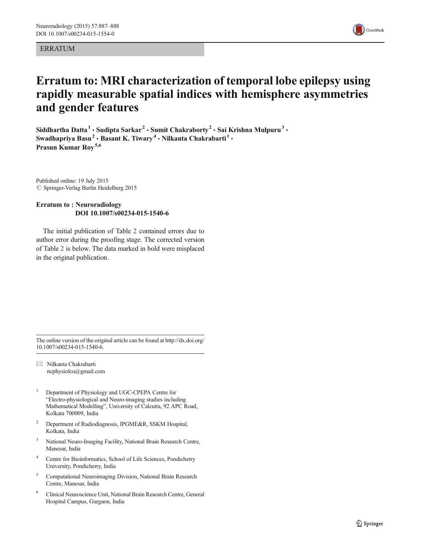ERRATUM



## Erratum to: MRI characterization of temporal lobe epilepsy using rapidly measurable spatial indices with hemisphere asymmetries and gender features

Siddhartha Datta<sup>1</sup> · Sudipta Sarkar<sup>2</sup> · Sumit Chakraborty<sup>2</sup> · Sai Krishna Mulpuru<sup>3</sup> · Swadhapriya Basu<sup>2</sup> · Basant K. Tiwary<sup>4</sup> · Nilkanta Chakrabarti<sup>1</sup> · Prasun Kumar Roy<sup>5,6</sup>

Published online: 19 July 2015  $\oslash$  Springer-Verlag Berlin Heidelberg 2015

## Erratum to : Neuroradiology DOI 10.1007/s00234-015-1540-6

The initial publication of Table [2](#page-1-0) contained errors due to author error during the proofing stage. The corrected version of Table [2](#page-1-0) is below. The data marked in bold were misplaced in the original publication.

The online version of the original article can be found at [http://dx.doi.org/](http://dx.doi.org/10.1007/s00234-015-1540-6) [10.1007/s00234-015-1540-6.](http://dx.doi.org/10.1007/s00234-015-1540-6)

 $\boxtimes$  Nilkanta Chakrabarti ncphysiolcu@gmail.com

- <sup>1</sup> Department of Physiology and UGC-CPEPA Centre for "Electro-physiological and Neuro-imaging studies including Mathematical Modelling", University of Calcutta, 92 APC Road, Kolkata 700009, India
- <sup>2</sup> Department of Radiodiagnosis, IPGME&R, SSKM Hospital, Kolkata, India
- <sup>3</sup> National Neuro-Imaging Facility, National Brain Research Centre, Manesar, India
- Centre for Bioinformatics, School of Life Sciences, Pondicherry University, Pondicherry, India
- <sup>5</sup> Computational Neuroimaging Division, National Brain Research Centre, Manesar, India
- <sup>6</sup> Clinical Neuroscience Unit, National Brain Research Centre, General Hospital Campus, Gurgaon, India